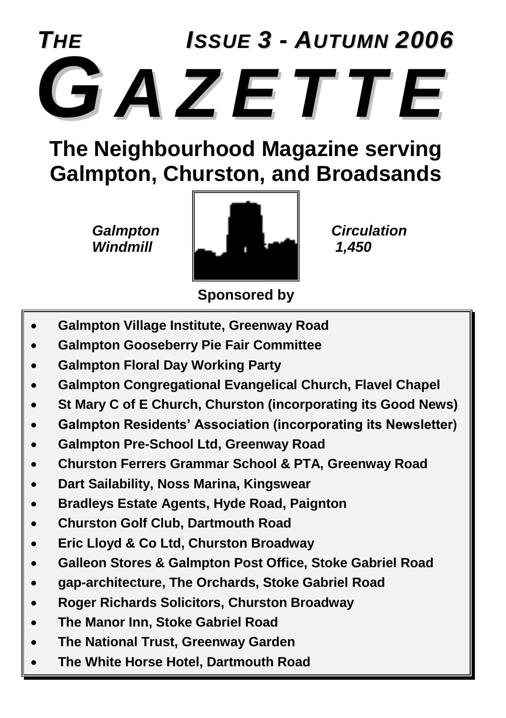

### **The Neighbourhood Magazine serving Galmpton, Churston, and Broadsands**



**Sponsored by**

- **Galmpton Village Institute, Greenway Road**
- **Galmpton Gooseberry Pie Fair Committee**
- **Galmpton Floral Day Working Party**
- **Galmpton Congregational Evangelical Church, Flavel Chapel**
- **St Mary C of E Church, Churston (incorporating its Good News)**
- **Galmpton Residents' Association (incorporating its Newsletter)**
- **Galmpton Pre-School Ltd, Greenway Road**
- **Churston Ferrers Grammar School & PTA, Greenway Road**
- **Dart Sailability, Noss Marina, Kingswear**
- **Bradleys Estate Agents, Hyde Road, Paignton**
- **Churston Golf Club, Dartmouth Road**
- **Eric Lloyd & Co Ltd, Churston Broadway**
- **Galleon Stores & Galmpton Post Office, Stoke Gabriel Road**
- **gap-architecture, The Orchards, Stoke Gabriel Road**
- **Roger Richards Solicitors, Churston Broadway**
- **The Manor Inn, Stoke Gabriel Road**
- **The National Trust, Greenway Garden**
- **The White Horse Hotel, Dartmouth Road**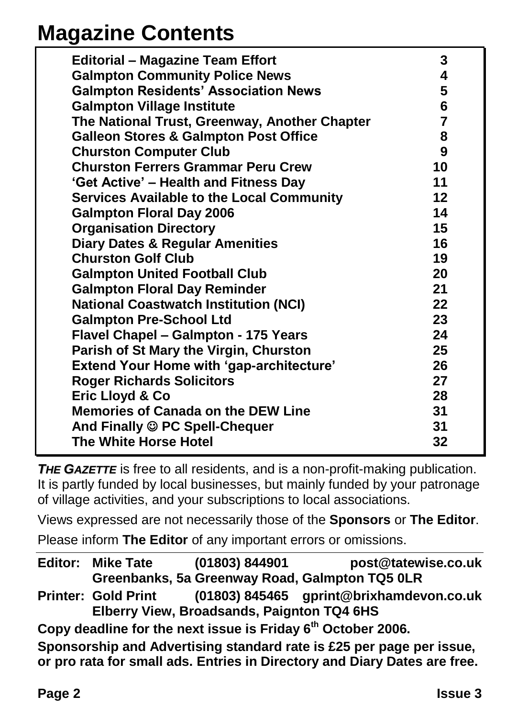### **Magazine Contents**

| <b>Editorial - Magazine Team Effort</b>          | 3              |
|--------------------------------------------------|----------------|
| <b>Galmpton Community Police News</b>            | 4              |
| <b>Galmpton Residents' Association News</b>      | 5              |
| <b>Galmpton Village Institute</b>                | 6              |
| The National Trust, Greenway, Another Chapter    | $\overline{7}$ |
| <b>Galleon Stores &amp; Galmpton Post Office</b> | 8              |
| <b>Churston Computer Club</b>                    | 9              |
| <b>Churston Ferrers Grammar Peru Crew</b>        | 10             |
| 'Get Active' – Health and Fitness Day            | 11             |
| <b>Services Available to the Local Community</b> | 12             |
| <b>Galmpton Floral Day 2006</b>                  | 14             |
| <b>Organisation Directory</b>                    | 15             |
| <b>Diary Dates &amp; Regular Amenities</b>       | 16             |
| <b>Churston Golf Club</b>                        | 19             |
| <b>Galmpton United Football Club</b>             | 20             |
| <b>Galmpton Floral Day Reminder</b>              | 21             |
| <b>National Coastwatch Institution (NCI)</b>     | 22             |
| <b>Galmpton Pre-School Ltd</b>                   | 23             |
| <b>Flavel Chapel - Galmpton - 175 Years</b>      | 24             |
| Parish of St Mary the Virgin, Churston           | 25             |
| <b>Extend Your Home with 'gap-architecture'</b>  | 26             |
| <b>Roger Richards Solicitors</b>                 | 27             |
| Eric Lloyd & Co                                  | 28             |
| <b>Memories of Canada on the DEW Line</b>        | 31             |
| And Finally C PC Spell-Chequer                   | 31             |
| The White Horse Hotel                            | 32             |

**THE GAZETTE** is free to all residents, and is a non-profit-making publication. It is partly funded by local businesses, but mainly funded by your patronage of village activities, and your subscriptions to local associations.

Views expressed are not necessarily those of the **Sponsors** or **The Editor**.

Please inform **The Editor** of any important errors or omissions.

**Editor: Mike Tate (01803) 844901 post@tatewise.co.uk Greenbanks, 5a Greenway Road, Galmpton TQ5 0LR Printer: Gold Print (01803) 845465 gprint@brixhamdevon.co.uk Elberry View, Broadsands, Paignton TQ4 6HS Copy deadline for the next issue is Friday 6th October 2006. Sponsorship and Advertising standard rate is £25 per page per issue,** 

**or pro rata for small ads. Entries in Directory and Diary Dates are free.**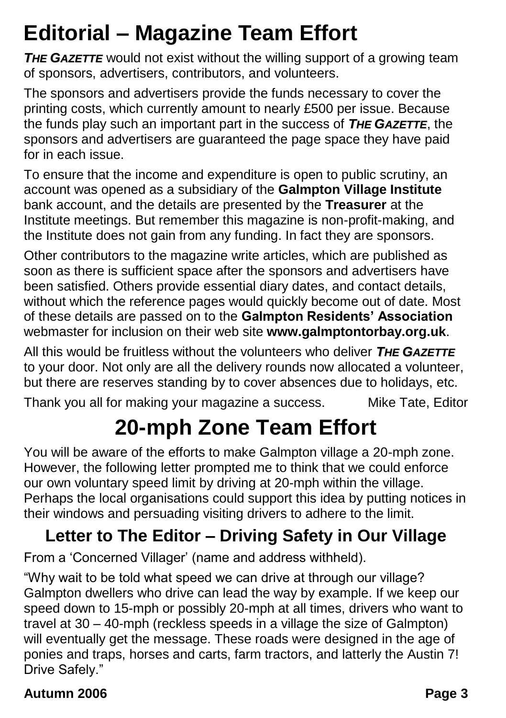### **Editorial – Magazine Team Effort**

**THE GAZETTE** would not exist without the willing support of a growing team of sponsors, advertisers, contributors, and volunteers.

The sponsors and advertisers provide the funds necessary to cover the printing costs, which currently amount to nearly £500 per issue. Because the funds play such an important part in the success of *THE GAZETTE*, the sponsors and advertisers are guaranteed the page space they have paid for in each issue.

To ensure that the income and expenditure is open to public scrutiny, an account was opened as a subsidiary of the **Galmpton Village Institute** bank account, and the details are presented by the **Treasurer** at the Institute meetings. But remember this magazine is non-profit-making, and the Institute does not gain from any funding. In fact they are sponsors.

Other contributors to the magazine write articles, which are published as soon as there is sufficient space after the sponsors and advertisers have been satisfied. Others provide essential diary dates, and contact details, without which the reference pages would quickly become out of date. Most of these details are passed on to the **Galmpton Residents' Association** webmaster for inclusion on their web site **www.galmptontorbay.org.uk**.

All this would be fruitless without the volunteers who deliver *THE GAZETTE* to your door. Not only are all the delivery rounds now allocated a volunteer, but there are reserves standing by to cover absences due to holidays, etc.

Thank you all for making your magazine a success. Mike Tate, Editor

### **20-mph Zone Team Effort**

You will be aware of the efforts to make Galmpton village a 20-mph zone. However, the following letter prompted me to think that we could enforce our own voluntary speed limit by driving at 20-mph within the village. Perhaps the local organisations could support this idea by putting notices in their windows and persuading visiting drivers to adhere to the limit.

### **Letter to The Editor – Driving Safety in Our Village**

From a 'Concerned Villager' (name and address withheld).

"Why wait to be told what speed we can drive at through our village? Galmpton dwellers who drive can lead the way by example. If we keep our speed down to 15-mph or possibly 20-mph at all times, drivers who want to travel at 30 – 40-mph (reckless speeds in a village the size of Galmpton) will eventually get the message. These roads were designed in the age of ponies and traps, horses and carts, farm tractors, and latterly the Austin 7! Drive Safely."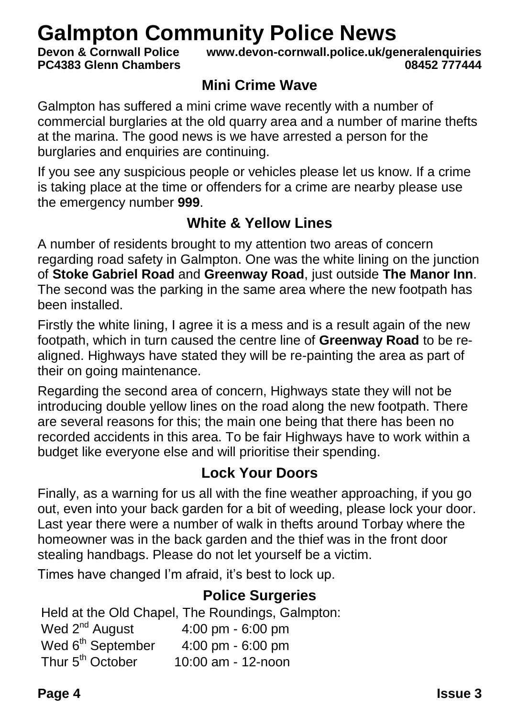# Galmpton Community Police News<br>**Devon & Cornwall Police WWW.devon-cornwall.police.uk/ge**

**PC4383 Glenn Chambers** 

**Devon & Cornwall Police www.devon-cornwall.police.uk/generalenquiries**

#### **Mini Crime Wave**

Galmpton has suffered a mini crime wave recently with a number of commercial burglaries at the old quarry area and a number of marine thefts at the marina. The good news is we have arrested a person for the burglaries and enquiries are continuing.

If you see any suspicious people or vehicles please let us know. If a crime is taking place at the time or offenders for a crime are nearby please use the emergency number **999**.

#### **White & Yellow Lines**

A number of residents brought to my attention two areas of concern regarding road safety in Galmpton. One was the white lining on the junction of **Stoke Gabriel Road** and **Greenway Road**, just outside **The Manor Inn**. The second was the parking in the same area where the new footpath has been installed.

Firstly the white lining, I agree it is a mess and is a result again of the new footpath, which in turn caused the centre line of **Greenway Road** to be realigned. Highways have stated they will be re-painting the area as part of their on going maintenance.

Regarding the second area of concern, Highways state they will not be introducing double yellow lines on the road along the new footpath. There are several reasons for this; the main one being that there has been no recorded accidents in this area. To be fair Highways have to work within a budget like everyone else and will prioritise their spending.

#### **Lock Your Doors**

Finally, as a warning for us all with the fine weather approaching, if you go out, even into your back garden for a bit of weeding, please lock your door. Last year there were a number of walk in thefts around Torbay where the homeowner was in the back garden and the thief was in the front door stealing handbags. Please do not let yourself be a victim.

Times have changed I'm afraid, it's best to lock up.

#### **Police Surgeries**

Held at the Old Chapel, The Roundings, Galmpton:

| Wed 2 <sup>nd</sup> August    | 4:00 pm - 6:00 pm  |
|-------------------------------|--------------------|
| Wed 6 <sup>th</sup> September | 4:00 pm $-6:00$ pm |
| Thur 5 <sup>th</sup> October  | 10:00 am - 12-noon |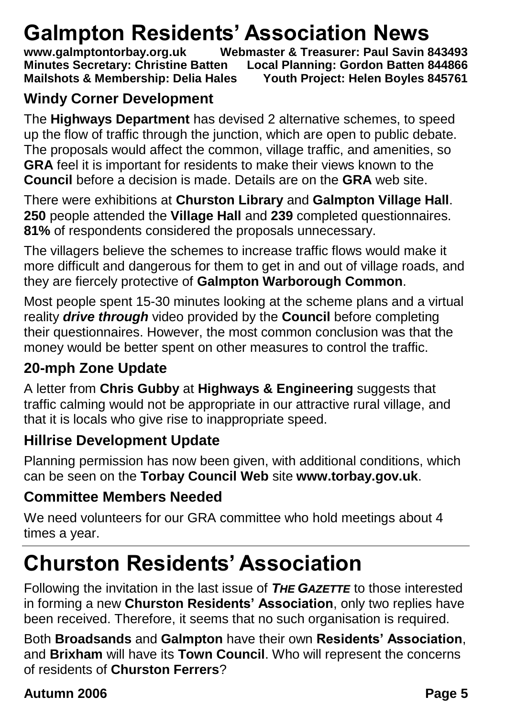# Galmpton Residents' Association News<br>www.galmptontorbay.org.uk<br>Webmaster & Treasurer: Paul Savin 8

**Webmaster & Treasurer: Paul Savin 843493 Minutes Secretary: Christine Batten Local Planning: Gordon Batten 844866 Mailshots & Membership: Delia Hales Youth Project: Helen Boyles 845761**

#### **Windy Corner Development**

The **Highways Department** has devised 2 alternative schemes, to speed up the flow of traffic through the junction, which are open to public debate. The proposals would affect the common, village traffic, and amenities, so **GRA** feel it is important for residents to make their views known to the **Council** before a decision is made. Details are on the **GRA** web site.

There were exhibitions at **Churston Library** and **Galmpton Village Hall**. **250** people attended the **Village Hall** and **239** completed questionnaires. **81%** of respondents considered the proposals unnecessary.

The villagers believe the schemes to increase traffic flows would make it more difficult and dangerous for them to get in and out of village roads, and they are fiercely protective of **Galmpton Warborough Common**.

Most people spent 15-30 minutes looking at the scheme plans and a virtual reality *drive through* video provided by the **Council** before completing their questionnaires. However, the most common conclusion was that the money would be better spent on other measures to control the traffic.

#### **20-mph Zone Update**

A letter from **Chris Gubby** at **Highways & Engineering** suggests that traffic calming would not be appropriate in our attractive rural village, and that it is locals who give rise to inappropriate speed.

#### **Hillrise Development Update**

Planning permission has now been given, with additional conditions, which can be seen on the **Torbay Council Web** site **www.torbay.gov.uk**.

#### **Committee Members Needed**

We need volunteers for our GRA committee who hold meetings about 4 times a year.

### **Churston Residents' Association**

Following the invitation in the last issue of *THE GAZETTE* to those interested in forming a new **Churston Residents' Association**, only two replies have been received. Therefore, it seems that no such organisation is required.

Both **Broadsands** and **Galmpton** have their own **Residents' Association**, and **Brixham** will have its **Town Council**. Who will represent the concerns of residents of **Churston Ferrers**?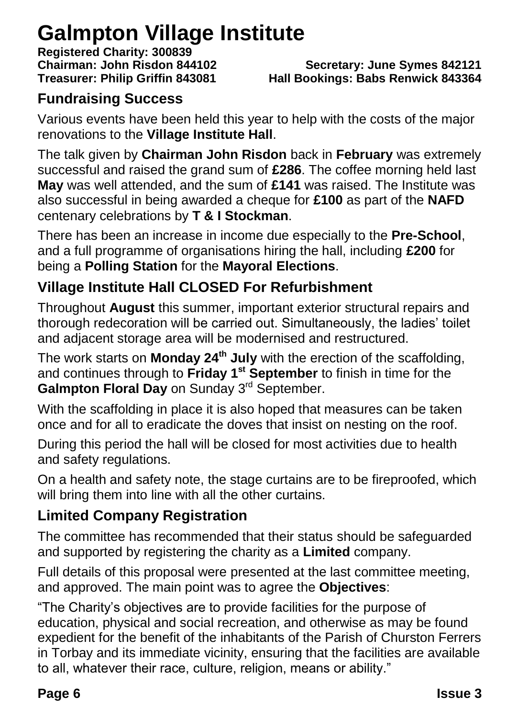### **Galmpton Village Institute**

**Registered Charity: 300839**

**Chairman: John Risdon 844102 Secretary: June Symes 842121 Treasurer: Philip Griffin 843081 Hall Bookings: Babs Renwick 843364**

#### **Fundraising Success**

Various events have been held this year to help with the costs of the major renovations to the **Village Institute Hall**.

The talk given by **Chairman John Risdon** back in **February** was extremely successful and raised the grand sum of **£286**. The coffee morning held last **May** was well attended, and the sum of **£141** was raised. The Institute was also successful in being awarded a cheque for **£100** as part of the **NAFD** centenary celebrations by **T & I Stockman**.

There has been an increase in income due especially to the **Pre-School**, and a full programme of organisations hiring the hall, including **£200** for being a **Polling Station** for the **Mayoral Elections**.

#### **Village Institute Hall CLOSED For Refurbishment**

Throughout **August** this summer, important exterior structural repairs and thorough redecoration will be carried out. Simultaneously, the ladies' toilet and adjacent storage area will be modernised and restructured.

The work starts on **Monday 24th July** with the erection of the scaffolding, and continues through to **Friday 1st September** to finish in time for the **Galmpton Floral Day** on Sunday 3<sup>rd</sup> September.

With the scaffolding in place it is also hoped that measures can be taken once and for all to eradicate the doves that insist on nesting on the roof.

During this period the hall will be closed for most activities due to health and safety regulations.

On a health and safety note, the stage curtains are to be fireproofed, which will bring them into line with all the other curtains.

#### **Limited Company Registration**

The committee has recommended that their status should be safeguarded and supported by registering the charity as a **Limited** company.

Full details of this proposal were presented at the last committee meeting, and approved. The main point was to agree the **Objectives**:

"The Charity's objectives are to provide facilities for the purpose of education, physical and social recreation, and otherwise as may be found expedient for the benefit of the inhabitants of the Parish of Churston Ferrers in Torbay and its immediate vicinity, ensuring that the facilities are available to all, whatever their race, culture, religion, means or ability."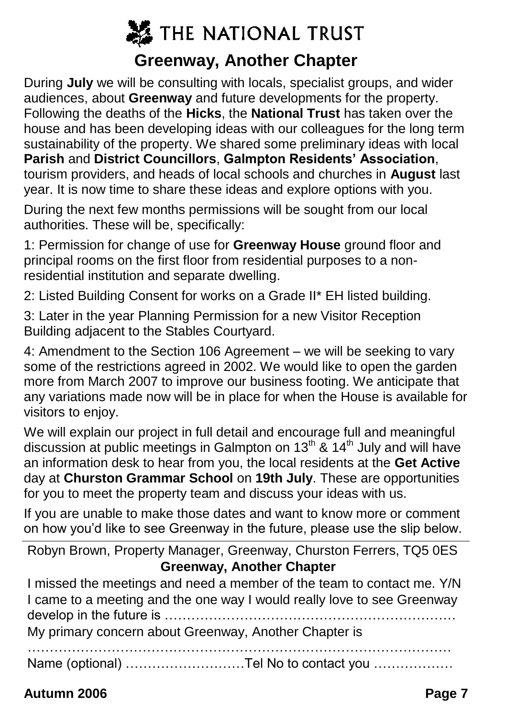### **※ THE NATIONAL TRUST Greenway, Another Chapter**

During **July** we will be consulting with locals, specialist groups, and wider audiences, about **Greenway** and future developments for the property. Following the deaths of the **Hicks**, the **National Trust** has taken over the house and has been developing ideas with our colleagues for the long term sustainability of the property. We shared some preliminary ideas with local **Parish** and **District Councillors**, **Galmpton Residents' Association**, tourism providers, and heads of local schools and churches in **August** last year. It is now time to share these ideas and explore options with you.

During the next few months permissions will be sought from our local authorities. These will be, specifically:

1: Permission for change of use for **Greenway House** ground floor and principal rooms on the first floor from residential purposes to a nonresidential institution and separate dwelling.

2: Listed Building Consent for works on a Grade II\* EH listed building.

3: Later in the year Planning Permission for a new Visitor Reception Building adjacent to the Stables Courtyard.

4: Amendment to the Section 106 Agreement – we will be seeking to vary some of the restrictions agreed in 2002. We would like to open the garden more from March 2007 to improve our business footing. We anticipate that any variations made now will be in place for when the House is available for visitors to enjoy.

We will explain our project in full detail and encourage full and meaningful discussion at public meetings in Galmpton on 13<sup>th</sup>  $\tilde{a}$  14<sup>th</sup> July and will have an information desk to hear from you, the local residents at the **Get Active** day at **Churston Grammar School** on **19th July**. These are opportunities for you to meet the property team and discuss your ideas with us.

If you are unable to make those dates and want to know more or comment on how you'd like to see Greenway in the future, please use the slip below.

Robyn Brown, Property Manager, Greenway, Churston Ferrers, TQ5 0ES **Greenway, Another Chapter**

I missed the meetings and need a member of the team to contact me. Y/N I came to a meeting and the one way I would really love to see Greenway develop in the future is …………………………………………………………

My primary concern about Greenway, Another Chapter is

……………………………………………………………………………………

Name (optional) ………………………Tel No to contact you ………………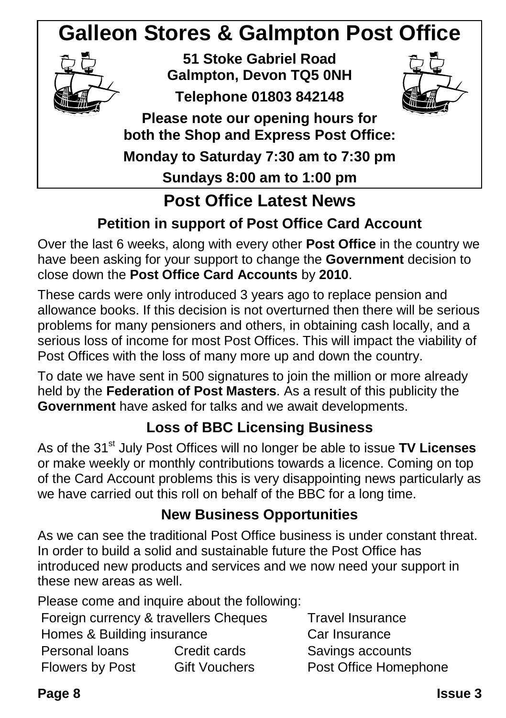### **Galleon Stores & Galmpton Post Office**



### **Post Office Latest News**

#### **Petition in support of Post Office Card Account**

Over the last 6 weeks, along with every other **Post Office** in the country we have been asking for your support to change the **Government** decision to close down the **Post Office Card Accounts** by **2010**.

These cards were only introduced 3 years ago to replace pension and allowance books. If this decision is not overturned then there will be serious problems for many pensioners and others, in obtaining cash locally, and a serious loss of income for most Post Offices. This will impact the viability of Post Offices with the loss of many more up and down the country.

To date we have sent in 500 signatures to join the million or more already held by the **Federation of Post Masters**. As a result of this publicity the **Government** have asked for talks and we await developments.

#### **Loss of BBC Licensing Business**

As of the 31<sup>st</sup> July Post Offices will no longer be able to issue **TV Licenses** or make weekly or monthly contributions towards a licence. Coming on top of the Card Account problems this is very disappointing news particularly as we have carried out this roll on behalf of the BBC for a long time.

#### **New Business Opportunities**

As we can see the traditional Post Office business is under constant threat. In order to build a solid and sustainable future the Post Office has introduced new products and services and we now need your support in these new areas as well.

Please come and inquire about the following:

| Foreign currency & travellers Cheque |                      |
|--------------------------------------|----------------------|
| Homes & Building insurance           |                      |
| Personal loans                       | Credit cards         |
| Flowers by Post                      | <b>Gift Vouchers</b> |
|                                      |                      |

s Travel Insurance Car Insurance Savings accounts Post Office Homephone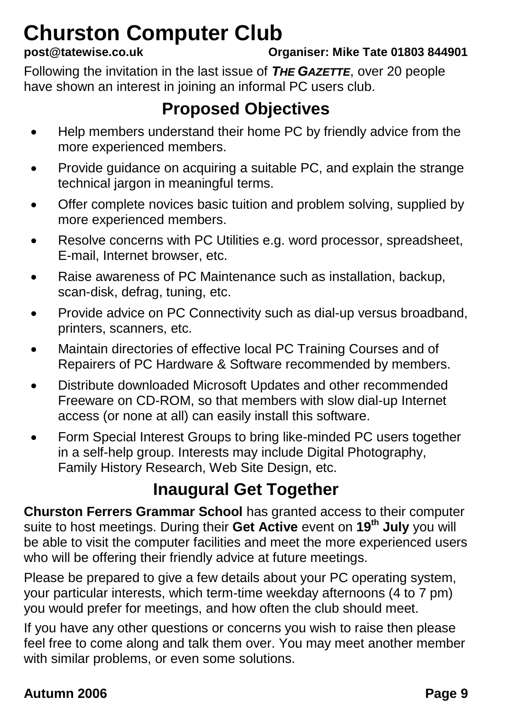# **Churston Computer Club**<br>post@tatewise.co.uk

**post@tatewise.co.uk Organiser: Mike Tate 01803 844901**

Following the invitation in the last issue of *THE GAZETTE*, over 20 people have shown an interest in joining an informal PC users club.

#### **Proposed Objectives**

- Help members understand their home PC by friendly advice from the more experienced members.
- Provide guidance on acquiring a suitable PC, and explain the strange technical jargon in meaningful terms.
- Offer complete novices basic tuition and problem solving, supplied by more experienced members.
- Resolve concerns with PC Utilities e.g. word processor, spreadsheet, E-mail, Internet browser, etc.
- Raise awareness of PC Maintenance such as installation, backup, scan-disk, defrag, tuning, etc.
- Provide advice on PC Connectivity such as dial-up versus broadband, printers, scanners, etc.
- Maintain directories of effective local PC Training Courses and of Repairers of PC Hardware & Software recommended by members.
- Distribute downloaded Microsoft Updates and other recommended Freeware on CD-ROM, so that members with slow dial-up Internet access (or none at all) can easily install this software.
- Form Special Interest Groups to bring like-minded PC users together in a self-help group. Interests may include Digital Photography, Family History Research, Web Site Design, etc.

### **Inaugural Get Together**

**Churston Ferrers Grammar School** has granted access to their computer suite to host meetings. During their **Get Active** event on **19th July** you will be able to visit the computer facilities and meet the more experienced users who will be offering their friendly advice at future meetings.

Please be prepared to give a few details about your PC operating system, your particular interests, which term-time weekday afternoons (4 to 7 pm) you would prefer for meetings, and how often the club should meet.

If you have any other questions or concerns you wish to raise then please feel free to come along and talk them over. You may meet another member with similar problems, or even some solutions.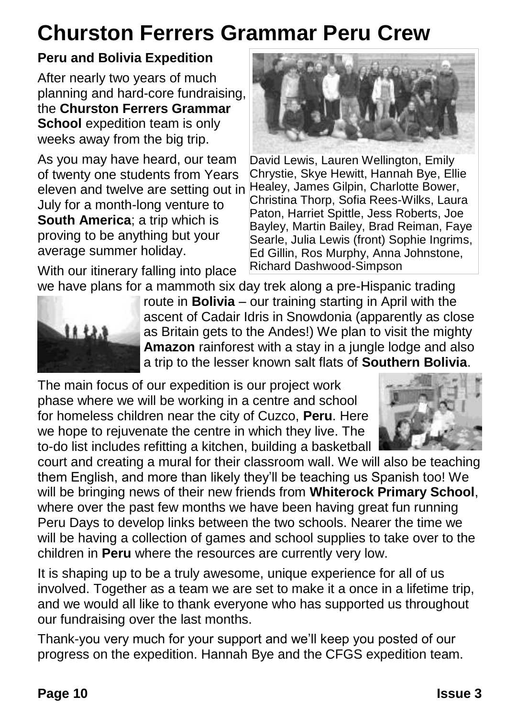### **Churston Ferrers Grammar Peru Crew**

#### **Peru and Bolivia Expedition**

After nearly two years of much planning and hard-core fundraising, the **Churston Ferrers Grammar School** expedition team is only weeks away from the big trip.

As you may have heard, our team of twenty one students from Years eleven and twelve are setting out in July for a month-long venture to **South America**; a trip which is proving to be anything but your average summer holiday.

With our itinerary falling into place



David Lewis, Lauren Wellington, Emily Chrystie, Skye Hewitt, Hannah Bye, Ellie Healey, James Gilpin, Charlotte Bower, Christina Thorp, Sofia Rees-Wilks, Laura Paton, Harriet Spittle, Jess Roberts, Joe Bayley, Martin Bailey, Brad Reiman, Faye Searle, Julia Lewis (front) Sophie Ingrims, Ed Gillin, Ros Murphy, Anna Johnstone, Richard Dashwood-Simpson



we have plans for a mammoth six day trek along a pre-Hispanic trading route in **Bolivia** – our training starting in April with the ascent of Cadair Idris in Snowdonia (apparently as close as Britain gets to the Andes!) We plan to visit the mighty **Amazon** rainforest with a stay in a jungle lodge and also a trip to the lesser known salt flats of **Southern Bolivia**.

The main focus of our expedition is our project work phase where we will be working in a centre and school for homeless children near the city of Cuzco, **Peru**. Here we hope to rejuvenate the centre in which they live. The to-do list includes refitting a kitchen, building a basketball



court and creating a mural for their classroom wall. We will also be teaching them English, and more than likely they'll be teaching us Spanish too! We will be bringing news of their new friends from **Whiterock Primary School**, where over the past few months we have been having great fun running Peru Days to develop links between the two schools. Nearer the time we will be having a collection of games and school supplies to take over to the children in **Peru** where the resources are currently very low.

It is shaping up to be a truly awesome, unique experience for all of us involved. Together as a team we are set to make it a once in a lifetime trip, and we would all like to thank everyone who has supported us throughout our fundraising over the last months.

Thank-you very much for your support and we'll keep you posted of our progress on the expedition. Hannah Bye and the CFGS expedition team.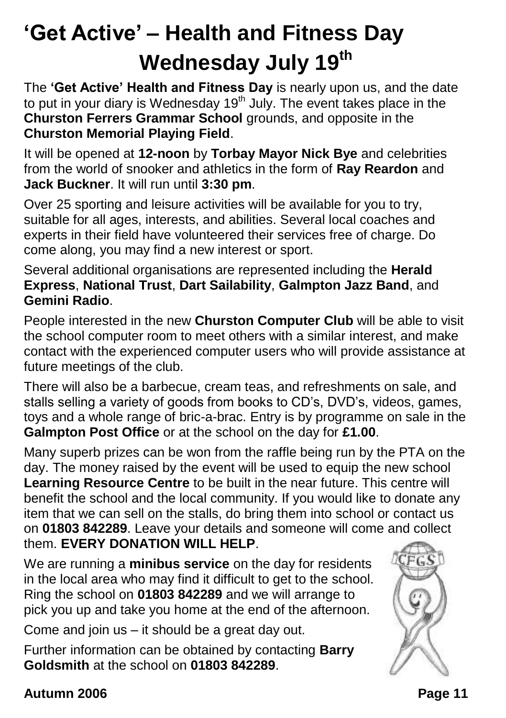### **'Get Active' – Health and Fitness Day Wednesday July 19th**

The **'Get Active' Health and Fitness Day** is nearly upon us, and the date to put in your diary is Wednesday 19<sup>th</sup> July. The event takes place in the **Churston Ferrers Grammar School** grounds, and opposite in the **Churston Memorial Playing Field**.

It will be opened at **12-noon** by **Torbay Mayor Nick Bye** and celebrities from the world of snooker and athletics in the form of **Ray Reardon** and **Jack Buckner**. It will run until **3:30 pm**.

Over 25 sporting and leisure activities will be available for you to try, suitable for all ages, interests, and abilities. Several local coaches and experts in their field have volunteered their services free of charge. Do come along, you may find a new interest or sport.

Several additional organisations are represented including the **Herald Express**, **National Trust**, **Dart Sailability**, **Galmpton Jazz Band**, and **Gemini Radio**.

People interested in the new **Churston Computer Club** will be able to visit the school computer room to meet others with a similar interest, and make contact with the experienced computer users who will provide assistance at future meetings of the club.

There will also be a barbecue, cream teas, and refreshments on sale, and stalls selling a variety of goods from books to CD's, DVD's, videos, games, toys and a whole range of bric-a-brac. Entry is by programme on sale in the **Galmpton Post Office** or at the school on the day for **£1.00**.

Many superb prizes can be won from the raffle being run by the PTA on the day. The money raised by the event will be used to equip the new school **Learning Resource Centre** to be built in the near future. This centre will benefit the school and the local community. If you would like to donate any item that we can sell on the stalls, do bring them into school or contact us on **01803 842289**. Leave your details and someone will come and collect them. **EVERY DONATION WILL HELP**.

We are running a **minibus service** on the day for residents in the local area who may find it difficult to get to the school. Ring the school on **01803 842289** and we will arrange to pick you up and take you home at the end of the afternoon.

Come and join us – it should be a great day out.

Further information can be obtained by contacting **Barry Goldsmith** at the school on **01803 842289**.

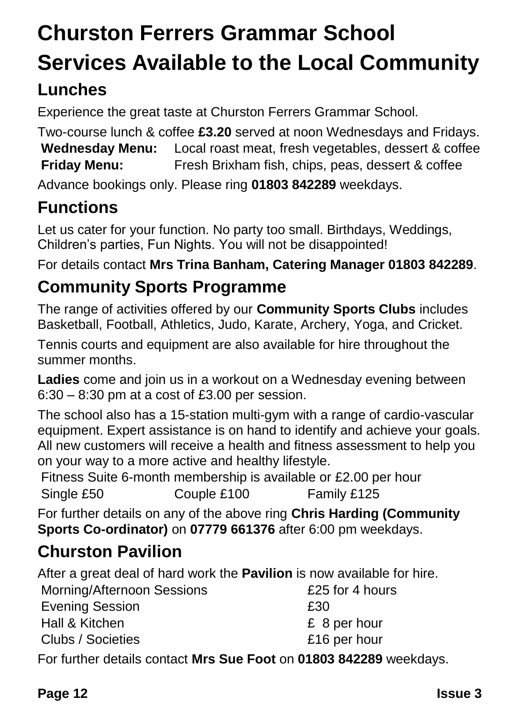## **Churston Ferrers Grammar School Services Available to the Local Community**

#### **Lunches**

Experience the great taste at Churston Ferrers Grammar School.

Two-course lunch & coffee **£3.20** served at noon Wednesdays and Fridays. **Wednesday Menu:** Local roast meat, fresh vegetables, dessert & coffee **Friday Menu:** Fresh Brixham fish, chips, peas, dessert & coffee

Advance bookings only. Please ring **01803 842289** weekdays.

#### **Functions**

Let us cater for your function. No party too small. Birthdays, Weddings, Children's parties, Fun Nights. You will not be disappointed!

For details contact **Mrs Trina Banham, Catering Manager 01803 842289**.

#### **Community Sports Programme**

The range of activities offered by our **Community Sports Clubs** includes Basketball, Football, Athletics, Judo, Karate, Archery, Yoga, and Cricket.

Tennis courts and equipment are also available for hire throughout the summer months.

**Ladies** come and join us in a workout on a Wednesday evening between 6:30 – 8:30 pm at a cost of £3.00 per session.

The school also has a 15-station multi-gym with a range of cardio-vascular equipment. Expert assistance is on hand to identify and achieve your goals. All new customers will receive a health and fitness assessment to help you on your way to a more active and healthy lifestyle.

Fitness Suite 6-month membership is available or £2.00 per hour Single £50 Couple £100 Family £125

For further details on any of the above ring **Chris Harding (Community Sports Co-ordinator)** on **07779 661376** after 6:00 pm weekdays.

#### **Churston Pavilion**

After a great deal of hard work the **Pavilion** is now available for hire.

| £25 for 4 hours |
|-----------------|
|                 |
| £ 8 per hour    |
| £16 per hour    |
|                 |

For further details contact **Mrs Sue Foot** on **01803 842289** weekdays.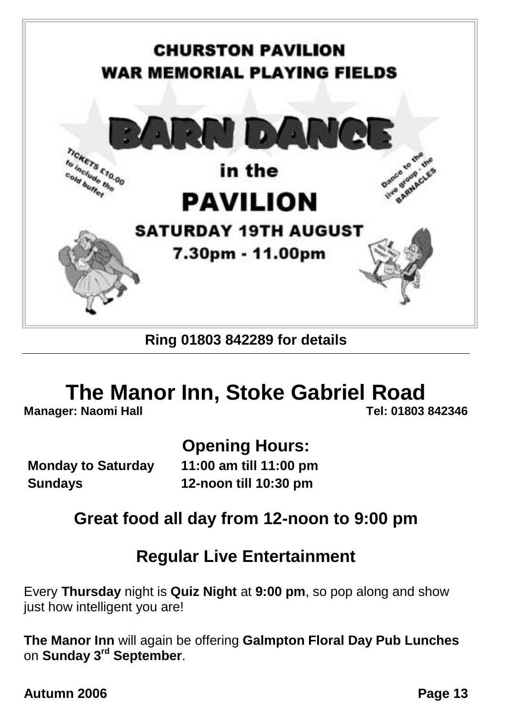

#### **Ring 01803 842289 for details**

# **The Manor Inn, Stoke Gabriel Road**<br>er: Naomi Hall

**Manager: Naomi Hall** 

#### **Opening Hours:**

**Monday to Saturday 11:00 am till 11:00 pm Sundays 12-noon till 10:30 pm**

#### **Great food all day from 12-noon to 9:00 pm**

#### **Regular Live Entertainment**

Every **Thursday** night is **Quiz Night** at **9:00 pm**, so pop along and show just how intelligent you are!

**The Manor Inn** will again be offering **Galmpton Floral Day Pub Lunches** on **Sunday 3rd September**.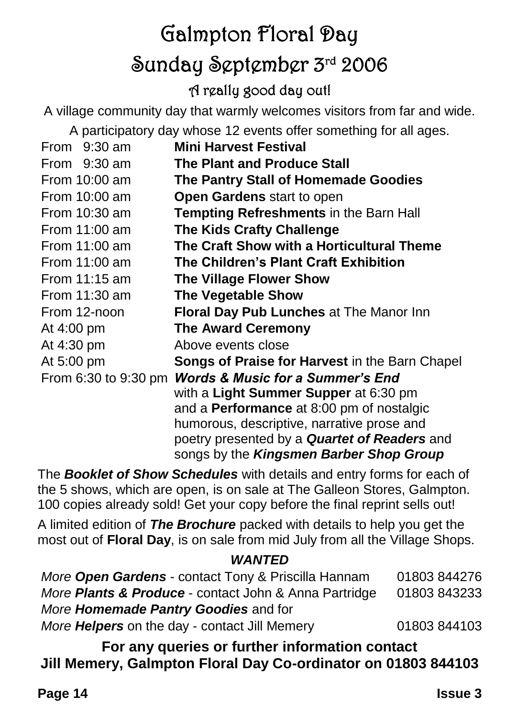### Galmpton Floral Day Sunday September 3rd 2006 A really good day out!

A village community day that warmly welcomes visitors from far and wide.

A participatory day whose 12 events offer something for all ages.

| From $9:30$ am       | <b>Mini Harvest Festival</b>                        |
|----------------------|-----------------------------------------------------|
| From 9:30 am         | <b>The Plant and Produce Stall</b>                  |
| From 10:00 am        | The Pantry Stall of Homemade Goodies                |
| From 10:00 am        | Open Gardens start to open                          |
| From 10:30 am        | <b>Tempting Refreshments in the Barn Hall</b>       |
| From 11:00 am        | <b>The Kids Crafty Challenge</b>                    |
| From 11:00 am        | The Craft Show with a Horticultural Theme           |
| From $11:00$ am      | The Children's Plant Craft Exhibition               |
| From $11:15$ am      | The Village Flower Show                             |
| From 11:30 am        | <b>The Vegetable Show</b>                           |
| From 12-noon         | Floral Day Pub Lunches at The Manor Inn             |
| At 4:00 pm           | <b>The Award Ceremony</b>                           |
| At 4:30 pm           | Above events close                                  |
| At 5:00 pm           | Songs of Praise for Harvest in the Barn Chapel      |
| From 6:30 to 9:30 pm | <b>Words &amp; Music for a Summer's End</b>         |
|                      | with a Light Summer Supper at 6:30 pm               |
|                      | and a <b>Performance</b> at 8:00 pm of nostalgic    |
|                      | humorous, descriptive, narrative prose and          |
|                      | poetry presented by a <b>Quartet of Readers</b> and |
|                      | songs by the Kingsmen Barber Shop Group             |

The *Booklet of Show Schedules* with details and entry forms for each of the 5 shows, which are open, is on sale at The Galleon Stores, Galmpton. 100 copies already sold! Get your copy before the final reprint sells out!

A limited edition of *The Brochure* packed with details to help you get the most out of **Floral Day**, is on sale from mid July from all the Village Shops.

#### *WANTED*

| More Open Gardens - contact Tony & Priscilla Hannam              | 01803 844276 |
|------------------------------------------------------------------|--------------|
| More <b>Plants &amp; Produce</b> - contact John & Anna Partridge | 01803 843233 |
| More <b>Homemade Pantry Goodies</b> and for                      |              |
| More <b>Helpers</b> on the day - contact Jill Memery             | 01803 844103 |

**For any queries or further information contact Jill Memery, Galmpton Floral Day Co-ordinator on 01803 844103**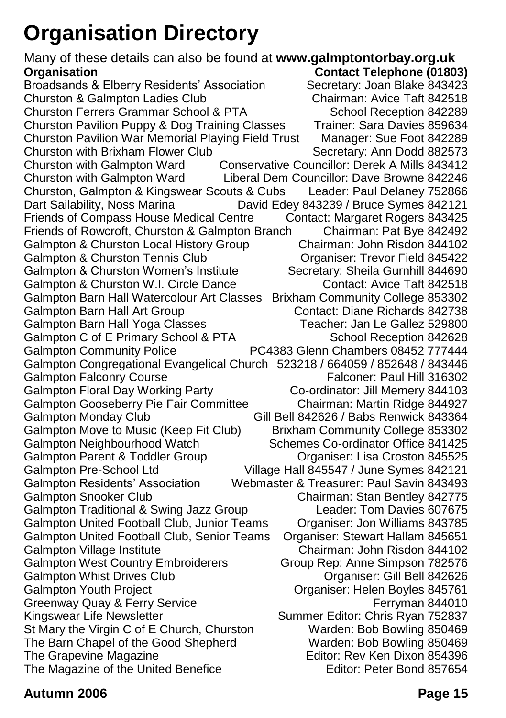### **Organisation Directory**

Many of these details can also be found at **www.galmptontorbay.org.uk Contact Telephone (01803)**<br>Secretary: Joan Blake 843423 Broadsands & Elberry Residents' Association Secretary: Joan Blake 843423<br>Churston & Galmpton Ladies Club Chairman: Avice Taft 842518 Churston & Galmpton Ladies Club Churston Ferrers Grammar School & PTA School Reception 842289 Churston Pavilion Puppy & Dog Training Classes Trainer: Sara Davies 859634 Churston Pavilion War Memorial Playing Field Trust Manager: Sue Foot 842289 Churston with Brixham Flower Club Secretary: Ann Dodd 882573 Churston with Galmpton Ward Conservative Councillor: Derek A Mills 843412 Churston with Galmpton Ward Liberal Dem Councillor: Dave Browne 842246 Churston, Galmpton & Kingswear Scouts & Cubs Leader: Paul Delaney 752866 David Edey 843239 / Bruce Symes 842121 Friends of Compass House Medical Centre Contact: Margaret Rogers 843425 Friends of Rowcroft, Churston & Galmpton Branch Chairman: Pat Bye 842492 Galmpton & Churston Local History Group Chairman: John Risdon 844102<br>Galmpton & Churston Tennis Club Craaniser: Trevor Field 845422 Galmpton & Churston Tennis Club Galmpton & Churston Women's Institute Secretary: Sheila Gurnhill 844690 Galmpton & Churston W.I. Circle Dance Contact: Avice Taft 842518 Galmpton Barn Hall Watercolour Art Classes Brixham Community College 853302 Galmpton Barn Hall Art Group Galmpton Barn Hall Yoga Classes Teacher: Jan Le Gallez 529800<br>Galmpton C of E Primary School & PTA School Reception 842628 Galmpton C of E Primary School & PTA Galmpton Community Police PC4383 Glenn Chambers 08452 777444 Galmpton Congregational Evangelical Church 523218 / 664059 / 852648 / 843446 Galmpton Falconry Course **Falconer: Paul Hill 316302** Galmpton Floral Day Working Party Co-ordinator: Jill Memery 844103 Galmpton Gooseberry Pie Fair Committee Chairman: Martin Ridge 844927 Galmpton Monday Club Gill Bell 842626 / Babs Renwick 843364 Galmpton Move to Music (Keep Fit Club) Brixham Community College 853302 Galmpton Neighbourhood Watch Schemes Co-ordinator Office 841425 Galmpton Parent & Toddler Group Croston 845525 Galmpton Pre-School Ltd Village Hall 845547 / June Symes 842121 Galmpton Residents' Association Webmaster & Treasurer: Paul Savin 843493 Galmpton Snooker Club Chairman: Stan Bentley 842775 Galmpton Traditional & Swing Jazz Group Leader: Tom Davies 607675 Galmpton United Football Club, Junior Teams Organiser: Jon Williams 843785 Galmpton United Football Club, Senior Teams Organiser: Stewart Hallam 845651 Chairman: John Risdon 844102 Galmpton West Country Embroiderers Group Rep: Anne Simpson 782576 Galmpton Whist Drives Club **Club Club Club Club Club Club Club Club Club Club Club Club Club Club Club Club Club Club Club Club Club Club Club Club Club Club Club Club** Galmpton Youth Project Organiser: Helen Boyles 845761 Greenway Quay & Ferry Service **Ferryman 844010** Ferryman 844010 Kingswear Life Newsletter Summer Editor: Chris Ryan 752837 St Mary the Virgin C of E Church, Churston Warden: Bob Bowling 850469 The Barn Chapel of the Good Shepherd Warden: Bob Bowling 850469<br>The Grapevine Magazine **Warell Boot Contains Editor: Rev Ken Dixon 854396** Editor: Rev Ken Dixon 854396 The Magazine of the United Benefice **Editor: Peter Bond 857654**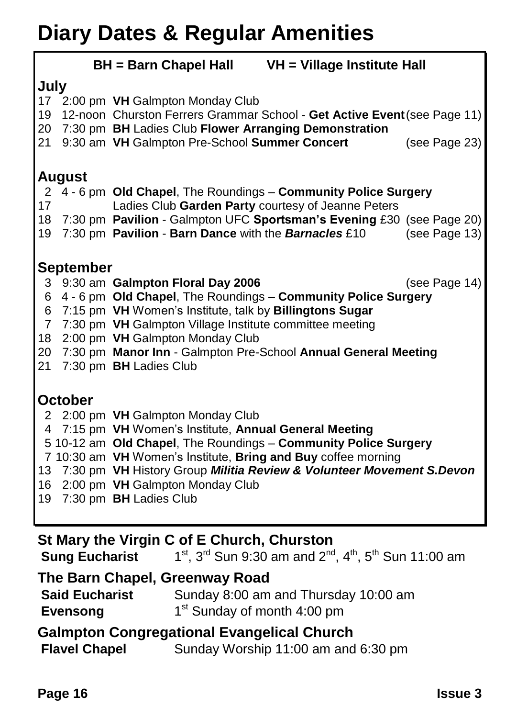### **Diary Dates & Regular Amenities**

|                | <b>BH</b> = Barn Chapel Hall<br>VH = Village Institute Hall |                                                                          |               |  |  |  |
|----------------|-------------------------------------------------------------|--------------------------------------------------------------------------|---------------|--|--|--|
| July           |                                                             |                                                                          |               |  |  |  |
| 17             |                                                             | 2:00 pm VH Galmpton Monday Club                                          |               |  |  |  |
| 19             |                                                             | 12-noon Churston Ferrers Grammar School - Get Active Event (see Page 11) |               |  |  |  |
| 20             |                                                             | 7:30 pm BH Ladies Club Flower Arranging Demonstration                    |               |  |  |  |
| 21             |                                                             | 9:30 am VH Galmpton Pre-School Summer Concert                            | (see Page 23) |  |  |  |
|                |                                                             |                                                                          |               |  |  |  |
|                | <b>August</b>                                               |                                                                          |               |  |  |  |
|                |                                                             | 2 4 - 6 pm Old Chapel, The Roundings - Community Police Surgery          |               |  |  |  |
| 17             |                                                             | Ladies Club Garden Party courtesy of Jeanne Peters                       |               |  |  |  |
| 18             |                                                             | 7:30 pm Pavilion - Galmpton UFC Sportsman's Evening £30 (see Page 20)    |               |  |  |  |
| 19             |                                                             | 7:30 pm Pavilion - Barn Dance with the Barnacles £10                     | (see Page 13) |  |  |  |
|                |                                                             |                                                                          |               |  |  |  |
|                | <b>September</b>                                            |                                                                          |               |  |  |  |
| 3              |                                                             | 9:30 am Galmpton Floral Day 2006                                         | (see Page 14) |  |  |  |
| 6              |                                                             | 4 - 6 pm Old Chapel, The Roundings - Community Police Surgery            |               |  |  |  |
| 6              |                                                             | 7:15 pm VH Women's Institute, talk by Billingtons Sugar                  |               |  |  |  |
| $\overline{7}$ |                                                             | 7:30 pm VH Galmpton Village Institute committee meeting                  |               |  |  |  |
| 18             |                                                             | 2:00 pm VH Galmpton Monday Club                                          |               |  |  |  |
| 20             |                                                             | 7:30 pm Manor Inn - Galmpton Pre-School Annual General Meeting           |               |  |  |  |
| 21             |                                                             | 7:30 pm BH Ladies Club                                                   |               |  |  |  |
|                |                                                             |                                                                          |               |  |  |  |
|                | <b>October</b>                                              |                                                                          |               |  |  |  |
|                |                                                             | 2 2:00 pm VH Galmpton Monday Club                                        |               |  |  |  |
|                |                                                             | 4 7:15 pm VH Women's Institute, Annual General Meeting                   |               |  |  |  |
|                |                                                             | 5 10-12 am Old Chapel, The Roundings - Community Police Surgery          |               |  |  |  |
|                |                                                             | 7 10:30 am VH Women's Institute, Bring and Buy coffee morning            |               |  |  |  |
|                |                                                             | 13 7:30 pm VH History Group Militia Review & Volunteer Movement S.Devon  |               |  |  |  |
| 16             |                                                             | 2:00 pm VH Galmpton Monday Club                                          |               |  |  |  |
| 19             |                                                             | 7:30 pm BH Ladies Club                                                   |               |  |  |  |
|                |                                                             |                                                                          |               |  |  |  |
|                |                                                             |                                                                          |               |  |  |  |
|                | St Mary the Virgin C of E Church, Churston                  |                                                                          |               |  |  |  |

**Sung Eucharist** 1<sup>st</sup>, 3<sup>rd</sup> Sun 9:30 am and 2<sup>nd</sup>, 4<sup>th</sup>, 5<sup>th</sup> Sun 11:00 am

#### **The Barn Chapel, Greenway Road**

| <b>Said Eucharist</b> | Sunday 8:00 am and Thursday 10:00 am    |
|-----------------------|-----------------------------------------|
| <b>Evensong</b>       | 1 <sup>st</sup> Sunday of month 4:00 pm |

#### **Galmpton Congregational Evangelical Church**

**Flavel Chapel** Sunday Worship 11:00 am and 6:30 pm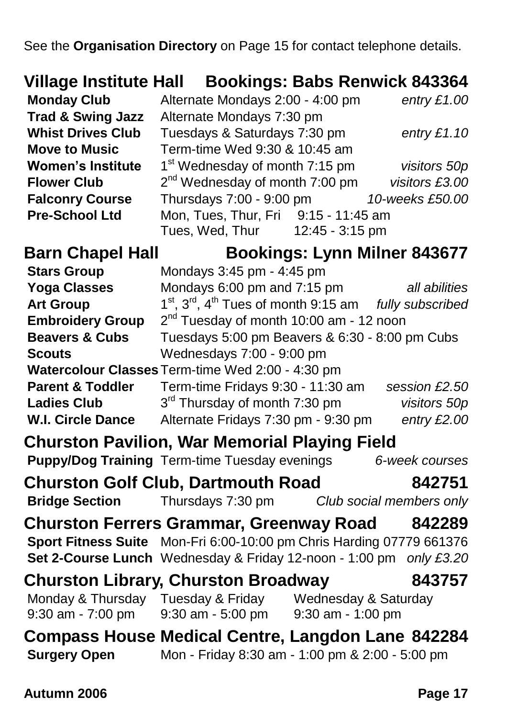See the **Organisation Directory** on Page 15 for contact telephone details.

|                              | Village Institute Hall Bookings: Babs Renwick 843364                                                 |                 |  |  |  |
|------------------------------|------------------------------------------------------------------------------------------------------|-----------------|--|--|--|
| <b>Monday Club</b>           | Alternate Mondays 2:00 - 4:00 pm                                                                     | entry $£1.00$   |  |  |  |
| <b>Trad &amp; Swing Jazz</b> | Alternate Mondays 7:30 pm                                                                            |                 |  |  |  |
| <b>Whist Drives Club</b>     | Tuesdays & Saturdays 7:30 pm                                                                         | entry $£1.10$   |  |  |  |
| <b>Move to Music</b>         | Term-time Wed 9:30 & 10:45 am                                                                        |                 |  |  |  |
| <b>Women's Institute</b>     | 1 <sup>st</sup> Wednesday of month 7:15 pm                                                           | visitors 50p    |  |  |  |
| <b>Flower Club</b>           | 2 <sup>nd</sup> Wednesday of month 7:00 pm                                                           | visitors £3.00  |  |  |  |
| <b>Falconry Course</b>       | Thursdays 7:00 - 9:00 pm                                                                             | 10-weeks £50.00 |  |  |  |
| <b>Pre-School Ltd</b>        | Mon, Tues, Thur, Fri 9:15 - 11:45 am                                                                 |                 |  |  |  |
|                              | 12:45 - 3:15 pm<br>Tues, Wed, Thur                                                                   |                 |  |  |  |
| <b>Barn Chapel Hall</b>      | <b>Bookings: Lynn Milner 843677</b>                                                                  |                 |  |  |  |
| <b>Stars Group</b>           | Mondays 3:45 pm - 4:45 pm                                                                            |                 |  |  |  |
| <b>Yoga Classes</b>          | Mondays 6:00 pm and 7:15 pm                                                                          | all abilities   |  |  |  |
| <b>Art Group</b>             | $1st$ , $3rd$ , $4th$ Tues of month 9:15 am <i>fully subscribed</i>                                  |                 |  |  |  |
| <b>Embroidery Group</b>      | 2 <sup>nd</sup> Tuesday of month 10:00 am - 12 noon                                                  |                 |  |  |  |
| <b>Beavers &amp; Cubs</b>    | Tuesdays 5:00 pm Beavers & 6:30 - 8:00 pm Cubs                                                       |                 |  |  |  |
| <b>Scouts</b>                | Wednesdays 7:00 - 9:00 pm                                                                            |                 |  |  |  |
|                              | Watercolour Classes Term-time Wed 2:00 - 4:30 pm                                                     |                 |  |  |  |
| <b>Parent &amp; Toddler</b>  | Term-time Fridays 9:30 - 11:30 am                                                                    | session £2.50   |  |  |  |
| <b>Ladies Club</b>           | 3 <sup>rd</sup> Thursday of month 7:30 pm                                                            | visitors 50p    |  |  |  |
| <b>W.I. Circle Dance</b>     | Alternate Fridays 7:30 pm - 9:30 pm                                                                  | entry £2.00     |  |  |  |
|                              | <b>Churston Pavilion, War Memorial Playing Field</b>                                                 |                 |  |  |  |
|                              | Puppy/Dog Training Term-time Tuesday evenings                                                        | 6-week courses  |  |  |  |
|                              | <b>Churston Golf Club, Dartmouth Road</b>                                                            | 842751          |  |  |  |
| <b>Bridge Section</b>        | Thursdays 7:30 pm<br>Club social members only                                                        |                 |  |  |  |
|                              | <b>Churston Ferrers Grammar, Greenway Road</b>                                                       | 842289          |  |  |  |
|                              | Sport Fitness Suite Mon-Fri 6:00-10:00 pm Chris Harding 07779 661376                                 |                 |  |  |  |
|                              | Set 2-Course Lunch Wednesday & Friday 12-noon - 1:00 pm only £3.20                                   |                 |  |  |  |
|                              | <b>Churston Library, Churston Broadway</b>                                                           | 843757          |  |  |  |
|                              | Monday & Thursday Tuesday & Friday Wednesday & Saturday                                              |                 |  |  |  |
| 9:30 am - 7:00 pm            | 9:30 am - 5:00 pm 9:30 am - 1:00 pm                                                                  |                 |  |  |  |
| <b>Surgery Open</b>          | Compass House Medical Centre, Langdon Lane 842284<br>Mon - Friday 8:30 am - 1:00 pm & 2:00 - 5:00 pm |                 |  |  |  |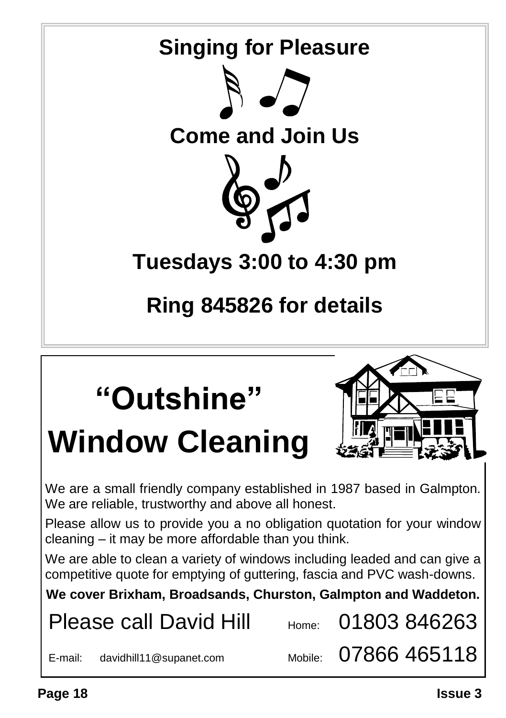

We are a small friendly company established in 1987 based in Galmpton. We are reliable, trustworthy and above all honest.

Please allow us to provide you a no obligation quotation for your window cleaning – it may be more affordable than you think.

We are able to clean a variety of windows including leaded and can give a competitive quote for emptying of guttering, fascia and PVC wash-downs.

**We cover Brixham, Broadsands, Churston, Galmpton and Waddeton.**

Please call David Hill  $_{\text{Home}}$  01803 846263

E-mail: davidhill11@supanet.com Mobile:  $07866$  465118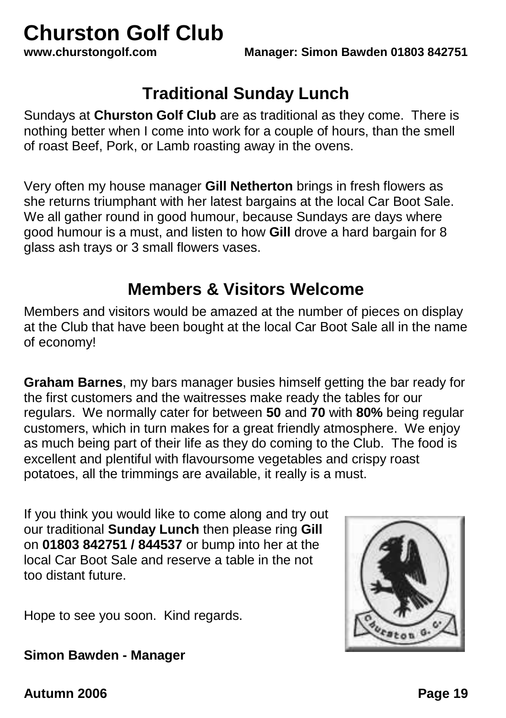# **Churston Golf Club**<br>www.churstongolf.com

#### **Traditional Sunday Lunch**

Sundays at **Churston Golf Club** are as traditional as they come. There is nothing better when I come into work for a couple of hours, than the smell of roast Beef, Pork, or Lamb roasting away in the ovens.

Very often my house manager **Gill Netherton** brings in fresh flowers as she returns triumphant with her latest bargains at the local Car Boot Sale. We all gather round in good humour, because Sundays are days where good humour is a must, and listen to how **Gill** drove a hard bargain for 8 glass ash trays or 3 small flowers vases.

#### **Members & Visitors Welcome**

Members and visitors would be amazed at the number of pieces on display at the Club that have been bought at the local Car Boot Sale all in the name of economy!

**Graham Barnes**, my bars manager busies himself getting the bar ready for the first customers and the waitresses make ready the tables for our regulars. We normally cater for between **50** and **70** with **80%** being regular customers, which in turn makes for a great friendly atmosphere. We enjoy as much being part of their life as they do coming to the Club. The food is excellent and plentiful with flavoursome vegetables and crispy roast potatoes, all the trimmings are available, it really is a must.

If you think you would like to come along and try out our traditional **Sunday Lunch** then please ring **Gill** on **01803 842751 / 844537** or bump into her at the local Car Boot Sale and reserve a table in the not too distant future.

Hope to see you soon. Kind regards.



**Simon Bawden - Manager**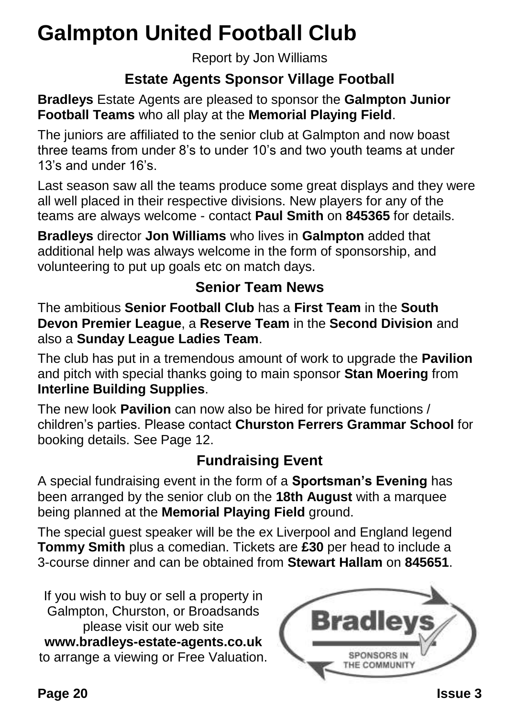### **Galmpton United Football Club**

Report by Jon Williams

#### **Estate Agents Sponsor Village Football**

**Bradleys** Estate Agents are pleased to sponsor the **Galmpton Junior Football Teams** who all play at the **Memorial Playing Field**.

The juniors are affiliated to the senior club at Galmpton and now boast three teams from under 8's to under 10's and two youth teams at under 13's and under 16's.

Last season saw all the teams produce some great displays and they were all well placed in their respective divisions. New players for any of the teams are always welcome - contact **Paul Smith** on **845365** for details.

**Bradleys** director **Jon Williams** who lives in **Galmpton** added that additional help was always welcome in the form of sponsorship, and volunteering to put up goals etc on match days.

#### **Senior Team News**

The ambitious **Senior Football Club** has a **First Team** in the **South Devon Premier League**, a **Reserve Team** in the **Second Division** and also a **Sunday League Ladies Team**.

The club has put in a tremendous amount of work to upgrade the **Pavilion** and pitch with special thanks going to main sponsor **Stan Moering** from **Interline Building Supplies**.

The new look **Pavilion** can now also be hired for private functions / children's parties. Please contact **Churston Ferrers Grammar School** for booking details. See Page 12.

#### **Fundraising Event**

A special fundraising event in the form of a **Sportsman's Evening** has been arranged by the senior club on the **18th August** with a marquee being planned at the **Memorial Playing Field** ground.

The special guest speaker will be the ex Liverpool and England legend **Tommy Smith** plus a comedian. Tickets are **£30** per head to include a 3-course dinner and can be obtained from **Stewart Hallam** on **845651**.

If you wish to buy or sell a property in Galmpton, Churston, or Broadsands please visit our web site **[www.bradleys-estate-agents.co.uk](http://www.bradleys-estate-agents.co.uk/)** to arrange a viewing or Free Valuation.

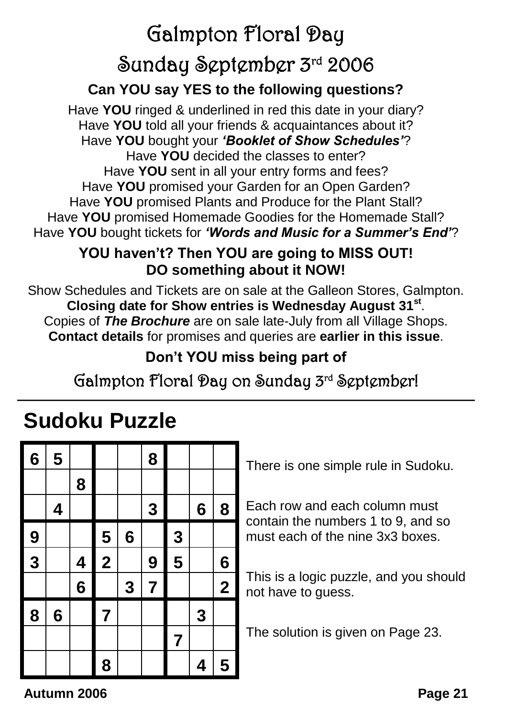## Galmpton Floral Day Sunday September 3rd 2006

#### **Can YOU say YES to the following questions?**

Have **YOU** ringed & underlined in red this date in your diary? Have **YOU** told all your friends & acquaintances about it? Have **YOU** bought your *'Booklet of Show Schedules'*? Have **YOU** decided the classes to enter? Have **YOU** sent in all your entry forms and fees? Have **YOU** promised your Garden for an Open Garden? Have **YOU** promised Plants and Produce for the Plant Stall? Have **YOU** promised Homemade Goodies for the Homemade Stall? Have **YOU** bought tickets for *'Words and Music for a Summer's End'*?

#### **YOU haven't? Then YOU are going to MISS OUT! DO something about it NOW!**

Show Schedules and Tickets are on sale at the Galleon Stores, Galmpton. **Closing date for Show entries is Wednesday August 31st** . Copies of *The Brochure* are on sale late-July from all Village Shops. **Contact details** for promises and queries are **earlier in this issue**.

#### **Don't YOU miss being part of**

#### Galmpton Floral Day on Sunday 3rd September!

### **Sudoku Puzzle**

| $6\phantom{1}6$ | 5 |          |                         |                 | 8              |                |                 |                 |
|-----------------|---|----------|-------------------------|-----------------|----------------|----------------|-----------------|-----------------|
|                 |   | 8        |                         |                 |                |                |                 |                 |
|                 | 4 |          |                         |                 | 3              |                | $6\phantom{1}6$ | 8               |
| 9               |   |          | 5                       | $6\phantom{1}6$ |                | 3              |                 |                 |
| $\frac{1}{3}$   |   | 4        | $\overline{\mathbf{2}}$ |                 | 9              | 5              |                 | $6\phantom{1}6$ |
|                 |   | $\bf{6}$ |                         | 3               | $\overline{7}$ |                |                 | $\overline{2}$  |
| 8               | 6 |          | $\overline{\mathbf{7}}$ |                 |                |                | 3               |                 |
|                 |   |          |                         |                 |                | $\overline{7}$ |                 |                 |
|                 |   |          | 8                       |                 |                |                | 4               | 5               |

There is one simple rule in Sudoku.

Each row and each column must contain the numbers 1 to 9, and so must each of the nine 3x3 boxes.

This is a logic puzzle, and you should not have to guess.

The solution is given on Page 23.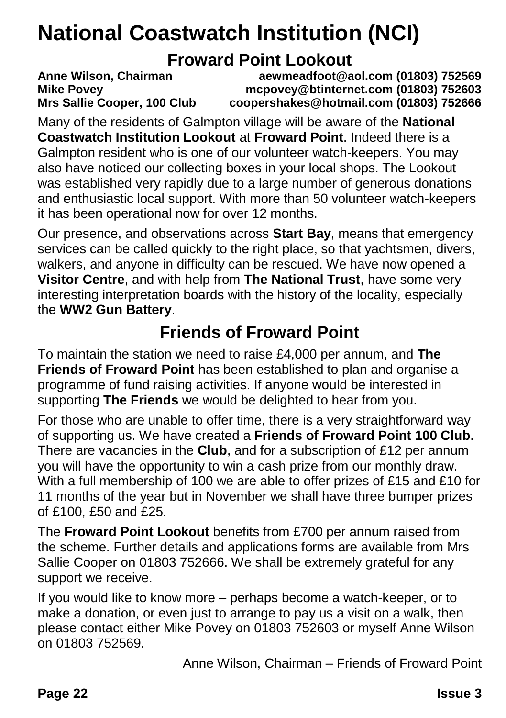### **National Coastwatch Institution (NCI)**

#### **Froward Point Lookout**

**Anne Wilson, Chairman aewmeadfoot@aol.com (01803) 752569 Mike Povey mcpovey@btinternet.com (01803) 752603 Mrs Sallie Cooper, 100 Club coopershakes@hotmail.com (01803) 752666**

Many of the residents of Galmpton village will be aware of the **National Coastwatch Institution Lookout** at **Froward Point**. Indeed there is a Galmpton resident who is one of our volunteer watch-keepers. You may also have noticed our collecting boxes in your local shops. The Lookout was established very rapidly due to a large number of generous donations and enthusiastic local support. With more than 50 volunteer watch-keepers it has been operational now for over 12 months.

Our presence, and observations across **Start Bay**, means that emergency services can be called quickly to the right place, so that yachtsmen, divers, walkers, and anyone in difficulty can be rescued. We have now opened a **Visitor Centre**, and with help from **The National Trust**, have some very interesting interpretation boards with the history of the locality, especially the **WW2 Gun Battery**.

#### **Friends of Froward Point**

To maintain the station we need to raise £4,000 per annum, and **The Friends of Froward Point** has been established to plan and organise a programme of fund raising activities. If anyone would be interested in supporting **The Friends** we would be delighted to hear from you.

For those who are unable to offer time, there is a very straightforward way of supporting us. We have created a **Friends of Froward Point 100 Club**. There are vacancies in the **Club**, and for a subscription of £12 per annum you will have the opportunity to win a cash prize from our monthly draw. With a full membership of 100 we are able to offer prizes of £15 and £10 for 11 months of the year but in November we shall have three bumper prizes of £100, £50 and £25.

The **Froward Point Lookout** benefits from £700 per annum raised from the scheme. Further details and applications forms are available from Mrs Sallie Cooper on 01803 752666. We shall be extremely grateful for any support we receive.

If you would like to know more – perhaps become a watch-keeper, or to make a donation, or even just to arrange to pay us a visit on a walk, then please contact either Mike Povey on 01803 752603 or myself Anne Wilson on 01803 752569.

Anne Wilson, Chairman – Friends of Froward Point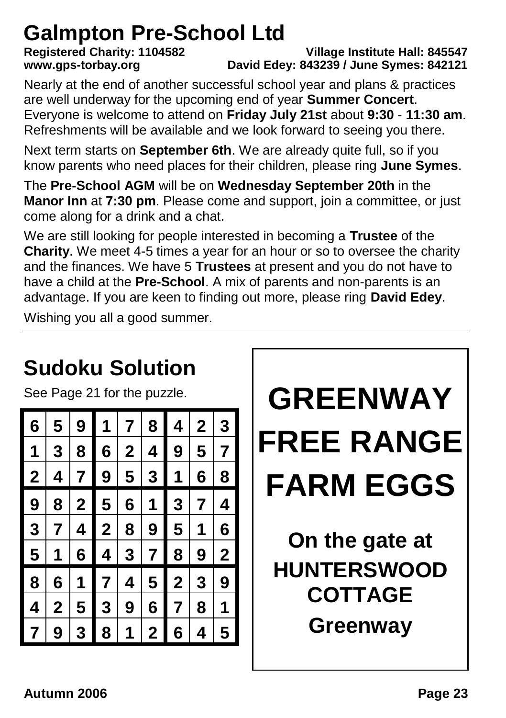# **Galmpton Pre-School Ltd**<br>Registered Charity: 1104582

**Registered Charity: 1104582 Village Institute Hall: 845547 www.gps-torbay.org David Edey: 843239 / June Symes: 842121**

Nearly at the end of another successful school year and plans & practices are well underway for the upcoming end of year **Summer Concert**. Everyone is welcome to attend on **Friday July 21st** about **9:30** - **11:30 am**. Refreshments will be available and we look forward to seeing you there.

Next term starts on **September 6th**. We are already quite full, so if you know parents who need places for their children, please ring **June Symes**.

The **Pre-School AGM** will be on **Wednesday September 20th** in the **Manor Inn** at **7:30 pm**. Please come and support, join a committee, or just come along for a drink and a chat.

We are still looking for people interested in becoming a **Trustee** of the **Charity**. We meet 4-5 times a year for an hour or so to oversee the charity and the finances. We have 5 **Trustees** at present and you do not have to have a child at the **Pre-School**. A mix of parents and non-parents is an advantage. If you are keen to finding out more, please ring **David Edey**.

Wishing you all a good summer.

#### **GREENWAY FREE RANGE FARM EGGS On the gate at HUNTERSWOOD COTTAGE Greenway Sudoku Solution** See Page 21 for the puzzle. **6 5 9 1 7 8 4 2 3 1 3 8 6 2 4 9 5 7 2 4 7 9 5 3 1 6 8 9 8 2 5 6 1 3 7 4 3 7 4 2 8 9 5 1 6 5 1 6 4 3 7 8 9 2 8 6 1 7 4 5 2 3 9 4 2 5 3 9 6 7 8 1 7 9 3 8 1 2 6 4 5**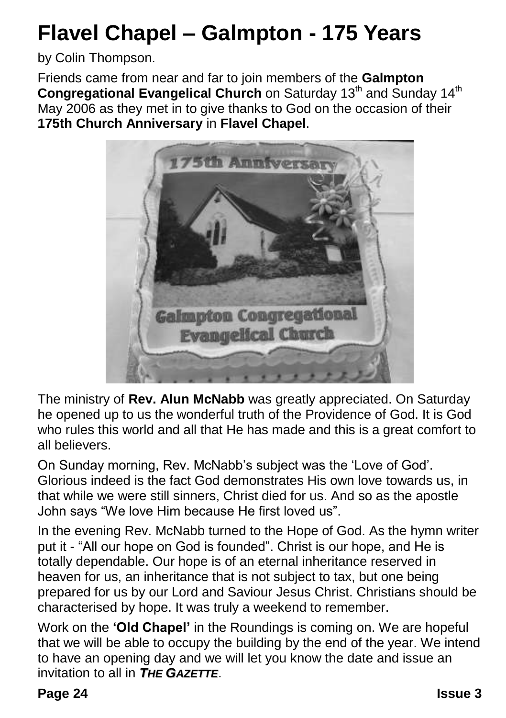### **Flavel Chapel – Galmpton - 175 Years**

by Colin Thompson.

Friends came from near and far to join members of the **Galmpton Congregational Evangelical Church** on Saturday 13<sup>th</sup> and Sunday 14<sup>th</sup> May 2006 as they met in to give thanks to God on the occasion of their **175th Church Anniversary** in **Flavel Chapel**.



The ministry of **Rev. Alun McNabb** was greatly appreciated. On Saturday he opened up to us the wonderful truth of the Providence of God. It is God who rules this world and all that He has made and this is a great comfort to all believers.

On Sunday morning, Rev. McNabb's subject was the 'Love of God'. Glorious indeed is the fact God demonstrates His own love towards us, in that while we were still sinners, Christ died for us. And so as the apostle John says "We love Him because He first loved us".

In the evening Rev. McNabb turned to the Hope of God. As the hymn writer put it - "All our hope on God is founded". Christ is our hope, and He is totally dependable. Our hope is of an eternal inheritance reserved in heaven for us, an inheritance that is not subject to tax, but one being prepared for us by our Lord and Saviour Jesus Christ. Christians should be characterised by hope. It was truly a weekend to remember.

Work on the **'Old Chapel'** in the Roundings is coming on. We are hopeful that we will be able to occupy the building by the end of the year. We intend to have an opening day and we will let you know the date and issue an invitation to all in *THE GAZETTE*.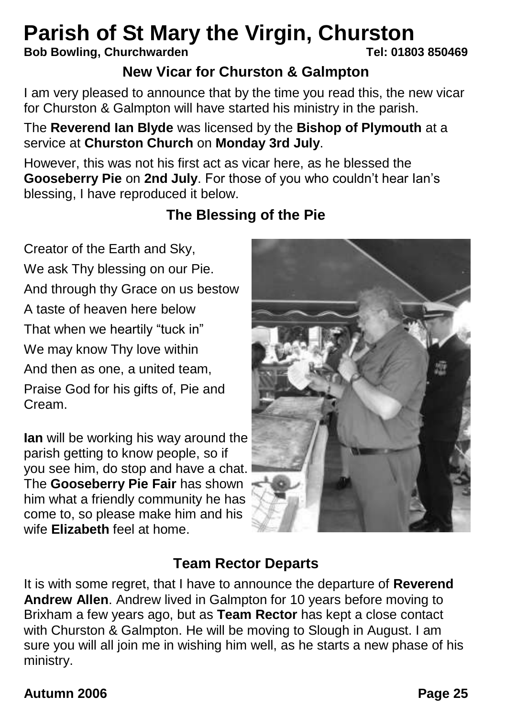# **Parish of St Mary the Virgin, Churston**<br>Bob Bowling, Churchwarden<br>Tel: 01803 850469

#### **Bob Bowling, Churchwarden**

#### **New Vicar for Churston & Galmpton**

I am very pleased to announce that by the time you read this, the new vicar for Churston & Galmpton will have started his ministry in the parish.

#### The **Reverend Ian Blyde** was licensed by the **Bishop of Plymouth** at a service at **Churston Church** on **Monday 3rd July**.

However, this was not his first act as vicar here, as he blessed the **Gooseberry Pie** on **2nd July**. For those of you who couldn't hear Ian's blessing, I have reproduced it below.

#### **The Blessing of the Pie**

Creator of the Earth and Sky, We ask Thy blessing on our Pie. And through thy Grace on us bestow A taste of heaven here below That when we heartily "tuck in" We may know Thy love within And then as one, a united team, Praise God for his gifts of, Pie and Cream.

**Ian** will be working his way around the parish getting to know people, so if you see him, do stop and have a chat. The **Gooseberry Pie Fair** has shown him what a friendly community he has come to, so please make him and his wife **Elizabeth** feel at home.



#### **Team Rector Departs**

It is with some regret, that I have to announce the departure of **Reverend Andrew Allen**. Andrew lived in Galmpton for 10 years before moving to Brixham a few years ago, but as **Team Rector** has kept a close contact with Churston & Galmpton. He will be moving to Slough in August. I am sure you will all join me in wishing him well, as he starts a new phase of his ministry.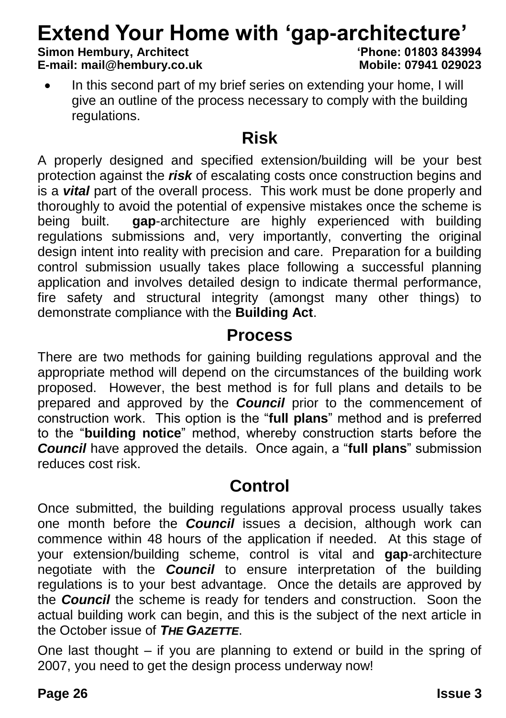# **Extend Your Home with 'gap-architecture'**<br>Simon Hembury, Architect<br> **Simon Hembury, Architect**

#### **Simon Hembury, Architect 'Phone: 01803 843994 E-mail: mail@hembury.co.uk**

- 
- In this second part of my brief series on extending your home, I will give an outline of the process necessary to comply with the building regulations.

#### **Risk**

A properly designed and specified extension/building will be your best protection against the *risk* of escalating costs once construction begins and is a *vital* part of the overall process. This work must be done properly and thoroughly to avoid the potential of expensive mistakes once the scheme is being built. **gap**-architecture are highly experienced with building regulations submissions and, very importantly, converting the original design intent into reality with precision and care. Preparation for a building control submission usually takes place following a successful planning application and involves detailed design to indicate thermal performance. fire safety and structural integrity (amongst many other things) to demonstrate compliance with the **Building Act**.

#### **Process**

There are two methods for gaining building regulations approval and the appropriate method will depend on the circumstances of the building work proposed. However, the best method is for full plans and details to be prepared and approved by the *Council* prior to the commencement of construction work. This option is the "**full plans**" method and is preferred to the "**building notice**" method, whereby construction starts before the *Council* have approved the details. Once again, a "**full plans**" submission reduces cost risk.

#### **Control**

Once submitted, the building regulations approval process usually takes one month before the *Council* issues a decision, although work can commence within 48 hours of the application if needed. At this stage of your extension/building scheme, control is vital and **gap**-architecture negotiate with the *Council* to ensure interpretation of the building regulations is to your best advantage. Once the details are approved by the *Council* the scheme is ready for tenders and construction. Soon the actual building work can begin, and this is the subject of the next article in the October issue of *THE GAZETTE*.

One last thought – if you are planning to extend or build in the spring of 2007, you need to get the design process underway now!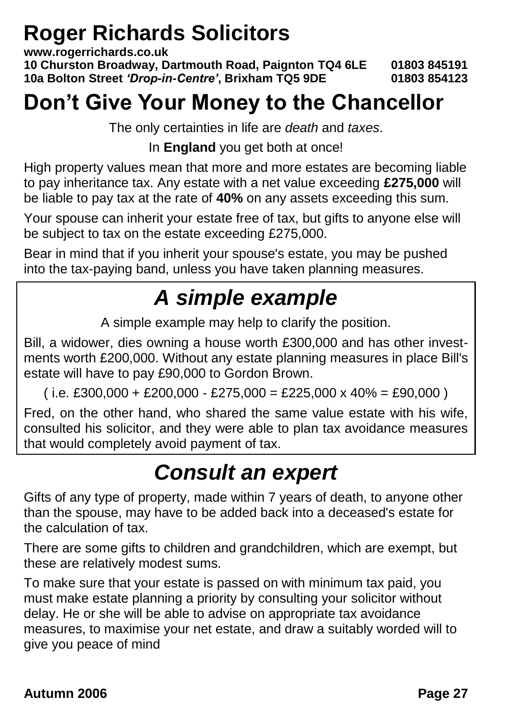### **Roger Richards Solicitors**

**www.rogerrichards.co.uk 10 Churston Broadway, Dartmouth Road, Paignton TQ4 6LE 01803 845191 10a Bolton Street** *'Drop-in-Centre'***, Brixham TQ5 9DE 01803 854123**

### **Don't Give Your Money to the Chancellor**

The only certainties in life are *death* and *taxes*.

In **England** you get both at once!

High property values mean that more and more estates are becoming liable to pay inheritance tax. Any estate with a net value exceeding **£275,000** will be liable to pay tax at the rate of **40%** on any assets exceeding this sum.

Your spouse can inherit your estate free of tax, but gifts to anyone else will be subject to tax on the estate exceeding £275,000.

Bear in mind that if you inherit your spouse's estate, you may be pushed into the tax-paying band, unless you have taken planning measures.

### *A simple example*

A simple example may help to clarify the position.

Bill, a widower, dies owning a house worth £300,000 and has other investments worth £200,000. Without any estate planning measures in place Bill's estate will have to pay £90,000 to Gordon Brown.

 $(i.e. £300,000 + £200,000 - £275,000 = £225,000 x 40% = £90,000)$ 

Fred, on the other hand, who shared the same value estate with his wife, consulted his solicitor, and they were able to plan tax avoidance measures that would completely avoid payment of tax.

### *Consult an expert*

Gifts of any type of property, made within 7 years of death, to anyone other than the spouse, may have to be added back into a deceased's estate for the calculation of tax.

There are some gifts to children and grandchildren, which are exempt, but these are relatively modest sums.

To make sure that your estate is passed on with minimum tax paid, you must make estate planning a priority by consulting your solicitor without delay. He or she will be able to advise on appropriate tax avoidance measures, to maximise your net estate, and draw a suitably worded will to give you peace of mind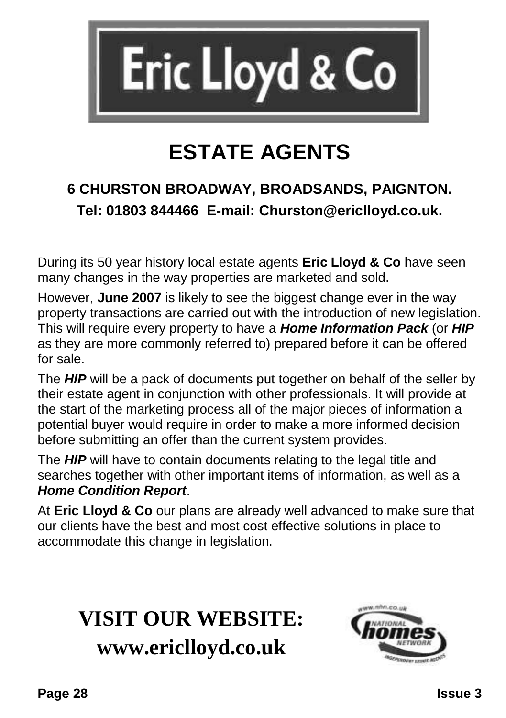

### **ESTATE AGENTS**

#### **6 CHURSTON BROADWAY, BROADSANDS, PAIGNTON. Tel: 01803 844466 E-mail: Churston@ericlloyd.co.uk.**

During its 50 year history local estate agents **Eric Lloyd & Co** have seen many changes in the way properties are marketed and sold.

However, **June 2007** is likely to see the biggest change ever in the way property transactions are carried out with the introduction of new legislation. This will require every property to have a *Home Information Pack* (or *HIP* as they are more commonly referred to) prepared before it can be offered for sale.

The *HIP* will be a pack of documents put together on behalf of the seller by their estate agent in conjunction with other professionals. It will provide at the start of the marketing process all of the major pieces of information a potential buyer would require in order to make a more informed decision before submitting an offer than the current system provides.

The *HIP* will have to contain documents relating to the legal title and searches together with other important items of information, as well as a *Home Condition Report*.

At **Eric Lloyd & Co** our plans are already well advanced to make sure that our clients have the best and most cost effective solutions in place to accommodate this change in legislation.

### **VISIT OUR WEBSITE: www.ericlloyd.co.uk**

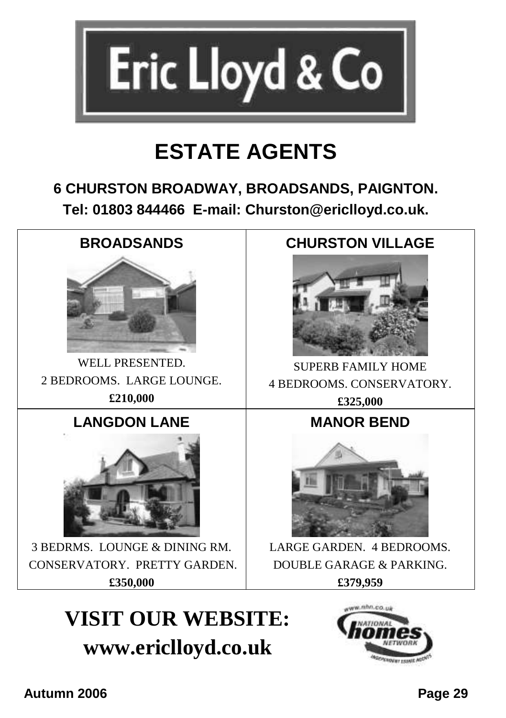

### **ESTATE AGENTS**

#### **6 CHURSTON BROADWAY, BROADSANDS, PAIGNTON. Tel: 01803 844466 E-mail: Churston@ericlloyd.co.uk.**



WELL PRESENTED. 2 BEDROOMS. LARGE LOUNGE. **£210,000**

#### **LANGDON LANE**



3 BEDRMS. LOUNGE & DINING RM. CONSERVATORY. PRETTY GARDEN. **£350,000**

#### **CHURSTON VILLAGE**



SUPERB FAMILY HOME 4 BEDROOMS. CONSERVATORY. **£325,000** 

#### **MANOR BEND**



LARGE GARDEN. 4 BEDROOMS. DOUBLE GARAGE & PARKING. **£379,959**

### **VISIT OUR WEBSITE: www.ericlloyd.co.uk**

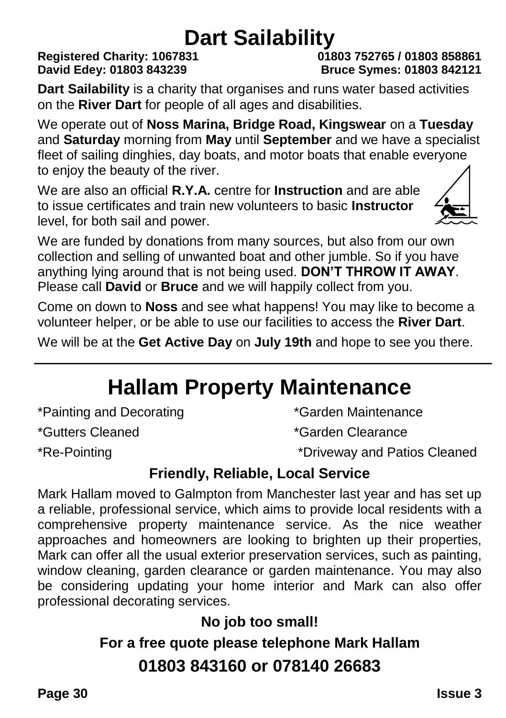# **Dart Sailability**<br>31<br>01803 752765 / 01803 858861

## **Registered Charity: 1067831**

**David Edey: 01803 843239 Bruce Symes: 01803 842121**

**Dart Sailability** is a charity that organises and runs water based activities on the **River Dart** for people of all ages and disabilities.

We operate out of **Noss Marina, Bridge Road, Kingswear** on a **Tuesday** and **Saturday** morning from **May** until **September** and we have a specialist fleet of sailing dinghies, day boats, and motor boats that enable everyone to enjoy the beauty of the river.

We are also an official **R.Y.A.** centre for **Instruction** and are able to issue certificates and train new volunteers to basic **Instructor** level, for both sail and power.



We are funded by donations from many sources, but also from our own collection and selling of unwanted boat and other jumble. So if you have anything lying around that is not being used. **DON'T THROW IT AWAY**. Please call **David** or **Bruce** and we will happily collect from you.

Come on down to **Noss** and see what happens! You may like to become a volunteer helper, or be able to use our facilities to access the **River Dart**.

We will be at the **Get Active Day** on **July 19th** and hope to see you there.

### **Hallam Property Maintenance**

\*Painting and Decorating \*Garden Maintenance

\*Gutters Cleaned \*Garden Clearance

\*Re-Pointing \*Driveway and Patios Cleaned

#### **Friendly, Reliable, Local Service**

Mark Hallam moved to Galmpton from Manchester last year and has set up a reliable, professional service, which aims to provide local residents with a comprehensive property maintenance service. As the nice weather approaches and homeowners are looking to brighten up their properties, Mark can offer all the usual exterior preservation services, such as painting, window cleaning, garden clearance or garden maintenance. You may also be considering updating your home interior and Mark can also offer professional decorating services.

**No job too small!**

**For a free quote please telephone Mark Hallam 01803 843160 or 078140 26683**

**Page 30 Issue 3**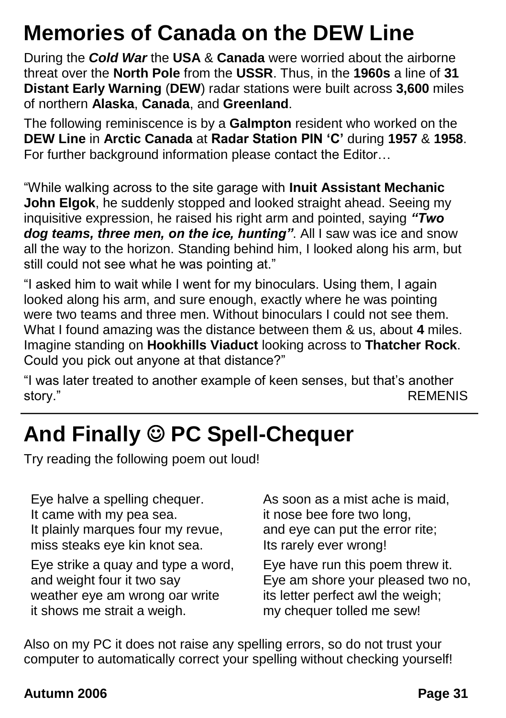### **Memories of Canada on the DEW Line**

During the *Cold War* the **USA** & **Canada** were worried about the airborne threat over the **North Pole** from the **USSR**. Thus, in the **1960s** a line of **31 Distant Early Warning** (**DEW**) radar stations were built across **3,600** miles of northern **Alaska**, **Canada**, and **Greenland**.

The following reminiscence is by a **Galmpton** resident who worked on the **DEW Line** in **Arctic Canada** at **Radar Station PIN 'C'** during **1957** & **1958**. For further background information please contact the Editor…

"While walking across to the site garage with **Inuit Assistant Mechanic John Elgok**, he suddenly stopped and looked straight ahead. Seeing my inquisitive expression, he raised his right arm and pointed, saying *"Two dog teams, three men, on the ice, hunting"*. All I saw was ice and snow all the way to the horizon. Standing behind him, I looked along his arm, but still could not see what he was pointing at."

"I asked him to wait while I went for my binoculars. Using them, I again looked along his arm, and sure enough, exactly where he was pointing were two teams and three men. Without binoculars I could not see them. What I found amazing was the distance between them & us, about **4** miles. Imagine standing on **Hookhills Viaduct** looking across to **Thatcher Rock**. Could you pick out anyone at that distance?"

"I was later treated to another example of keen senses, but that's another story." REMENIS

### **And Finally PC Spell-Chequer**

Try reading the following poem out loud!

Eye halve a spelling chequer. It came with my pea sea. It plainly marques four my revue, miss steaks eye kin knot sea.

Eye strike a quay and type a word, and weight four it two say weather eye am wrong oar write it shows me strait a weigh.

As soon as a mist ache is maid, it nose bee fore two long, and eye can put the error rite; Its rarely ever wrong!

Eye have run this poem threw it. Eye am shore your pleased two no, its letter perfect awl the weigh; my chequer tolled me sew!

Also on my PC it does not raise any spelling errors, so do not trust your computer to automatically correct your spelling without checking yourself!